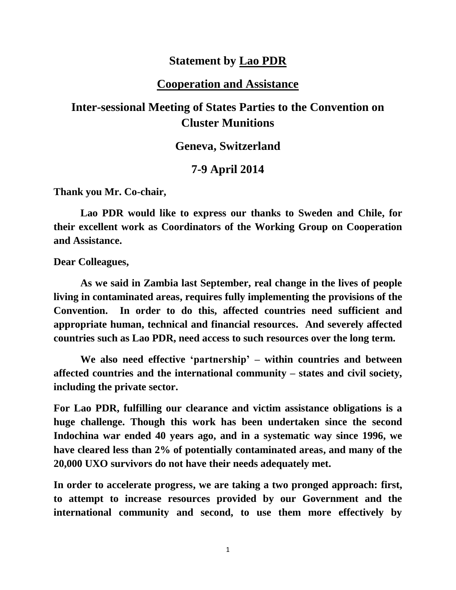## **Statement by Lao PDR**

### **Cooperation and Assistance**

# **Inter-sessional Meeting of States Parties to the Convention on Cluster Munitions**

#### **Geneva, Switzerland**

## **7-9 April 2014**

**Thank you Mr. Co-chair,** 

**Lao PDR would like to express our thanks to Sweden and Chile, for their excellent work as Coordinators of the Working Group on Cooperation and Assistance.**

**Dear Colleagues,** 

**As we said in Zambia last September, real change in the lives of people living in contaminated areas, requires fully implementing the provisions of the Convention. In order to do this, affected countries need sufficient and appropriate human, technical and financial resources. And severely affected countries such as Lao PDR, need access to such resources over the long term.** 

**We also need effective 'partnership' – within countries and between affected countries and the international community – states and civil society, including the private sector.** 

**For Lao PDR, fulfilling our clearance and victim assistance obligations is a huge challenge. Though this work has been undertaken since the second Indochina war ended 40 years ago, and in a systematic way since 1996, we have cleared less than 2% of potentially contaminated areas, and many of the 20,000 UXO survivors do not have their needs adequately met.** 

**In order to accelerate progress, we are taking a two pronged approach: first, to attempt to increase resources provided by our Government and the international community and second, to use them more effectively by** 

1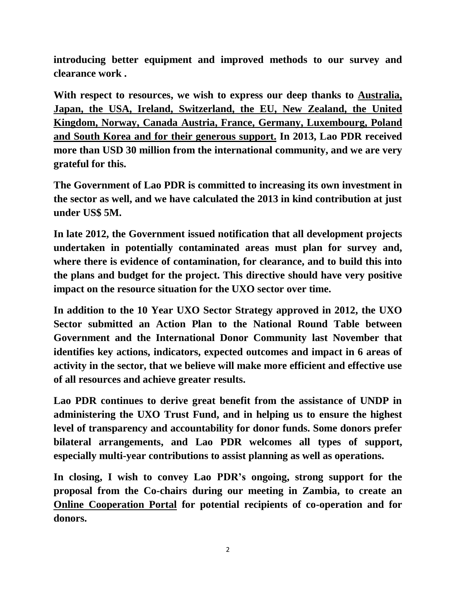**introducing better equipment and improved methods to our survey and clearance work .** 

**With respect to resources, we wish to express our deep thanks to Australia, Japan, the USA, Ireland, Switzerland, the EU, New Zealand, the United Kingdom, Norway, Canada Austria, France, Germany, Luxembourg, Poland and South Korea and for their generous support. In 2013, Lao PDR received more than USD 30 million from the international community, and we are very grateful for this.** 

**The Government of Lao PDR is committed to increasing its own investment in the sector as well, and we have calculated the 2013 in kind contribution at just under US\$ 5M.**

**In late 2012, the Government issued notification that all development projects undertaken in potentially contaminated areas must plan for survey and, where there is evidence of contamination, for clearance, and to build this into the plans and budget for the project. This directive should have very positive impact on the resource situation for the UXO sector over time.**

**In addition to the 10 Year UXO Sector Strategy approved in 2012, the UXO Sector submitted an Action Plan to the National Round Table between Government and the International Donor Community last November that identifies key actions, indicators, expected outcomes and impact in 6 areas of activity in the sector, that we believe will make more efficient and effective use of all resources and achieve greater results.** 

**Lao PDR continues to derive great benefit from the assistance of UNDP in administering the UXO Trust Fund, and in helping us to ensure the highest level of transparency and accountability for donor funds. Some donors prefer bilateral arrangements, and Lao PDR welcomes all types of support, especially multi-year contributions to assist planning as well as operations.** 

**In closing, I wish to convey Lao PDR's ongoing, strong support for the proposal from the Co-chairs during our meeting in Zambia, to create an Online Cooperation Portal for potential recipients of co-operation and for donors.**